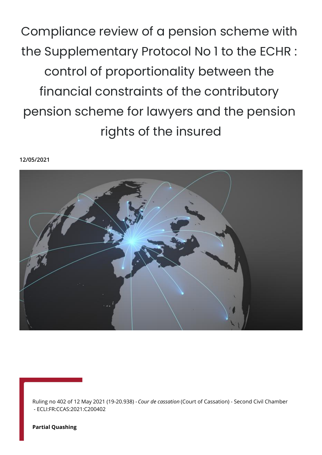Compliance review of a pension scheme with the Supplementary Protocol No 1 to the ECHR : control of proportionality between the financial constraints of the contributory pension scheme for lawyers and the pension rights of the insured

**12/05/2021**



Ruling no 402 of 12 May 2021 (19-20.938) - *Cour de cassation* (Court of Cassation) - Second Civil Chamber - ECLI:FR:CCAS:2021:C200402

**Partial Quashing**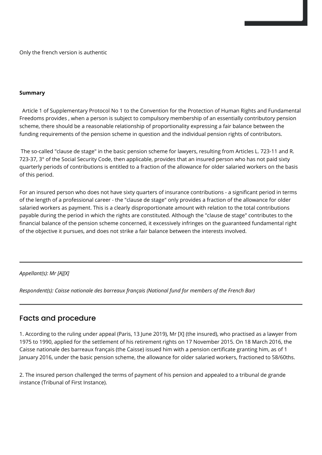Only the french version is authentic

## **Summary**

 Article 1 of Supplementary Protocol No 1 to the Convention for the Protection of Human Rights and Fundamental Freedoms provides , when a person is subject to compulsory membership of an essentially contributory pension scheme, there should be a reasonable relationship of proportionality expressing a fair balance between the funding requirements of the pension scheme in question and the individual pension rights of contributors.

 The so-called "clause de stage" in the basic pension scheme for lawyers, resulting from Articles L. 723-11 and R. 723-37, 3° of the Social Security Code, then applicable, provides that an insured person who has not paid sixty quarterly periods of contributions is entitled to a fraction of the allowance for older salaried workers on the basis of this period.

For an insured person who does not have sixty quarters of insurance contributions - a significant period in terms of the length of a professional career - the "clause de stage" only provides a fraction of the allowance for older salaried workers as payment. This is a clearly disproportionate amount with relation to the total contributions payable during the period in which the rights are constituted. Although the "clause de stage" contributes to the financial balance of the pension scheme concerned, it excessively infringes on the guaranteed fundamental right of the objective it pursues, and does not strike a fair balance between the interests involved.

## *Appellant(s): Mr [A][X]*

*Respondent(s): Caisse nationale des barreaux français (National fund for members of the French Bar)*

## Facts and procedure

1. According to the ruling under appeal (Paris, 13 June 2019), Mr [X] (the insured), who practised as a lawyer from 1975 to 1990, applied for the settlement of his retirement rights on 17 November 2015. On 18 March 2016, the Caisse nationale des barreaux français (the Caisse) issued him with a pension certificate granting him, as of 1 January 2016, under the basic pension scheme, the allowance for older salaried workers, fractioned to 58/60ths.

2. The insured person challenged the terms of payment of his pension and appealed to a tribunal de grande instance (Tribunal of First Instance).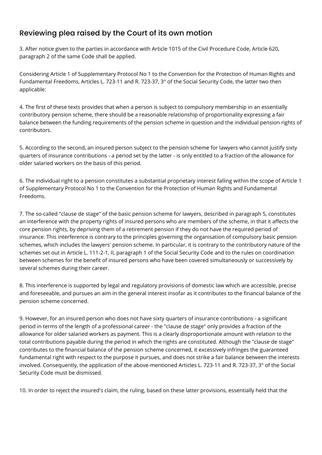## Reviewing plea raised by the Court of its own motion

3. After notice given to the parties in accordance with Article 1015 of the Civil Procedure Code, Article 620, paragraph 2 of the same Code shall be applied.

Considering Article 1 of Supplementary Protocol No 1 to the Convention for the Protection of Human Rights and Fundamental Freedoms, Articles L. 723-11 and R. 723-37, 3° of the Social Security Code, the latter two then applicable:

4. The first of these texts provides that when a person is subject to compulsory membership in an essentially contributory pension scheme, there should be a reasonable relationship of proportionality expressing a fair balance between the funding requirements of the pension scheme in question and the individual pension rights of contributors.

5. According to the second, an insured person subject to the pension scheme for lawyers who cannot justify sixty quarters of insurance contributions - a period set by the latter - is only entitled to a fraction of the allowance for older salaried workers on the basis of this period.

6. The individual right to a pension constitutes a substantial proprietary interest falling within the scope of Article 1 of Supplementary Protocol No 1 to the Convention for the Protection of Human Rights and Fundamental Freedoms.

7. The so-called "clause de stage" of the basic pension scheme for lawyers, described in paragraph 5, constitutes an interference with the property rights of insured persons who are members of the scheme, in that it affects the core pension rights, by depriving them of a retirement pension if they do not have the required period of insurance. This interference is contrary to the principles governing the organisation of compulsory basic pension schemes, which includes the lawyers' pension scheme. In particular, it is contrary to the contributory nature of the schemes set out in Article L. 111-2-1, II, paragraph 1 of the Social Security Code and to the rules on coordination between schemes for the benefit of insured persons who have been covered simultaneously or successively by several schemes during their career.

8. This interference is supported by legal and regulatory provisions of domestic law which are accessible, precise and foreseeable, and pursues an aim in the general interest insofar as it contributes to the financial balance of the pension scheme concerned.

9. However, for an insured person who does not have sixty quarters of insurance contributions - a significant period in terms of the length of a professional career - the "clause de stage" only provides a fraction of the allowance for older salaried workers as payment. This is a clearly disproportionate amount with relation to the total contributions payable during the period in which the rights are constituted. Although the "clause de stage" contributes to the financial balance of the pension scheme concerned, it excessively infringes the guaranteed fundamental right with respect to the purpose it pursues, and does not strike a fair balance between the interests involved. Consequently, the application of the above-mentioned Articles L. 723-11 and R. 723-37, 3° of the Social Security Code must be dismissed.

10. In order to reject the insured's claim, the ruling, based on these latter provisions, essentially held that the